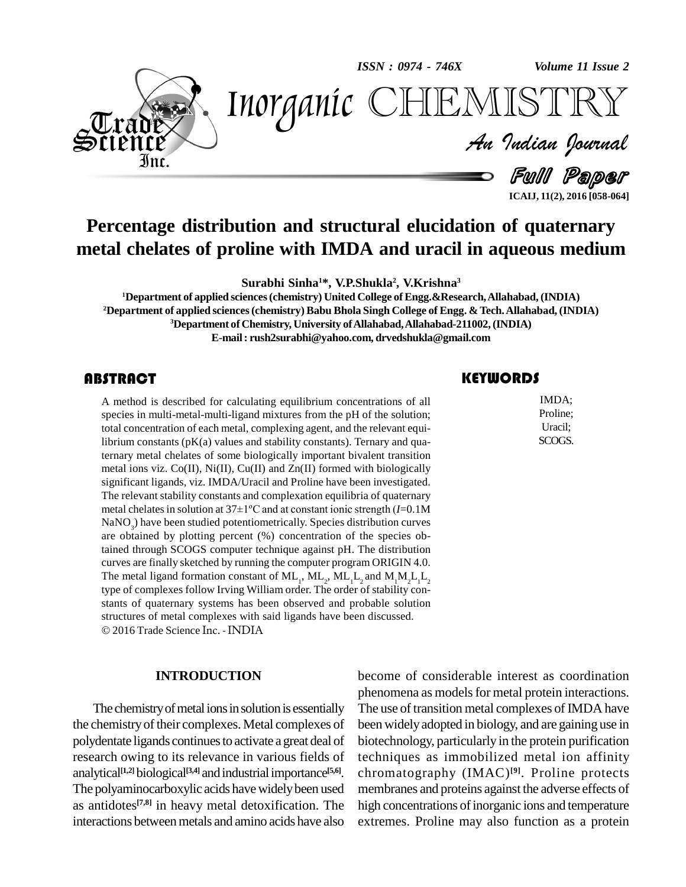*ISSN : 0974 - 746X*

*Volume 11 Issue 2*



*Volume 11 Issue 2*<br> $\sqrt{\text{SNR}}$ <br>*Indian Ocurnal* Inorganic CHEMISTRY

Full Paper

**ICAIJ, 11(2), 2016 [058-064]**

## **Percentage distribution and structural elucidation of quaternary metal chelates of proline with IMDA and uracil in aqueous medium**

**Surabhi Sinha <sup>1</sup>\*, V.P.Shukla 2 , V.Krishna 3**

**Department of applied sciences(chemistry) United College ofEngg.&Research,Allahabad, (INDIA) Department of applied sciences(chemistry) Babu Bhola Singh College of Engg. & Tech.Allahabad, (INDIA) Department of Chemistry, University ofAllahabad,Allahabad-211002,(INDIA) E-mail: [rush2surabhi@yahoo.com,](mailto:rush2surabhi@yahoo.com,) [drvedshukla@gmail.com](mailto:drvedshukla@gmail.com)**

#### **ABSTRACT**

A method is described for<br>species in multi-metal-mu<br>total concentration of each A method is described for calculating equilibrium concentrations of all species in multi-metal-multi-ligand mixtures from the pH of the solution; total concentration of each metal, complexing agent, and the relevant equilibrium constants  $(pK(a))$  values and stability constants). Ternary and quaternary metal chelates of some biologically important bivalent transition metal ions viz.  $Co(II)$ ,  $Ni(II)$ ,  $Cu(II)$  and  $Zn(II)$  formed with biologically significant ligands, viz. IMDA/Uracil and Proline have been investigated. The relevant stability constants and complexation equilibria of quaternary significant ligands, viz. IMDA/Uracil and Proline have been investigated.<br>The relevant stability constants and complexation equilibria of quaternary<br>metal chelates in solution at 37±1°C and at constant ionic strength (*I*= NaNO<sub>2</sub>) have been studied potentiometrically. Species distribution curves are obtained by plotting percent  $(\%)$  concentration of the species obtained through SCOGS computer technique against pH. The distribution curves are finally sketched by running the computer program ORIGIN 4.0. The metal ligand formation constant of  $ML_1$ ,  $ML_2$ ,  $ML_1L_2$  and  $M_1M_2L_1L_2$ type of complexes follow Irving William order. The order of stability con stants of quaternary systems has been observed and probable solution structures of metal complexes with said ligands have been discussed. 2016 Trade Science Inc. - INDIA

#### **INTRODUCTION**

The chemistry of metal ions in solution is essentially the chemistry of their complexes. Metal complexes of polydentate ligands continues to activate a great deal of research owing to its relevance in various fields of analytical<sup>[1,2]</sup> biological<sup>[3,4]</sup> and industrial importance<sup>[5,6]</sup>. ch The polyaminocarboxylic acids have widely been used as antidotes **[7,8]** in heavy metal detoxification. The interactions betweenmetals and amino acids have also

#### **KEYWORDS**

IMDA;<br>Proline;<br>Uracil; IMDA; Proline; Uracil; SCOGS.

become of considerable interest as coordination phenomena as models for metal protein interactions. The use of transition metal complexes of IMDA have been widelyadopted in biology, and are gaining use in biotechnology, particularly in the protein purification techniques as immobilized metal ion affinity chromatography (IMAC) **[9]**. Proline protects membranes and proteins against the adverse effects of high concentrations of inorganic ions and temperature extremes. Proline may also function as a protein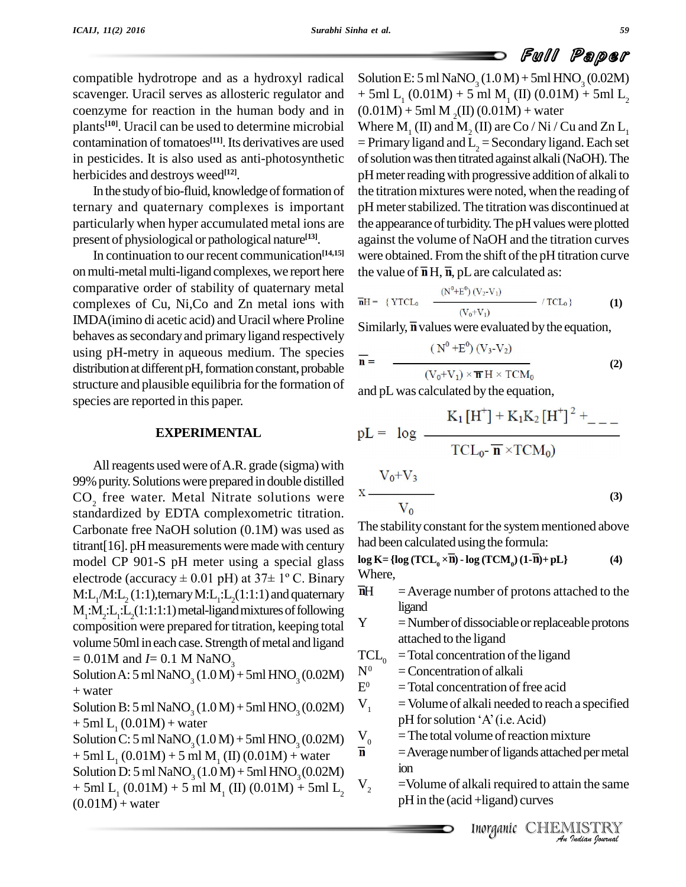compatible hydrotrope and as a hydroxyl radical scavenger. Uracil serves as allosteric regulator and coenzyme for reaction in the human body and in plants<sup>[10]</sup>. Uracil can be used to determine microbial W. contamination of tomatoes<sup>[11]</sup>. Its derivatives are used  $=$  Prim in pesticides. It is also used as anti-photosynthetic herbicides and destroys weed **[12]**.

In the study of bio-fluid, knowledge of formation of ternary and quaternary complexes is important particularly when hyper accumulated metal ions are present of physiological or pathological nature **[13]**.

In continuation to our recent communication **[14,15]** on multi-metal multi-ligand complexes, we report here comparative order of stability of quaternary metal complexes of Cu, Ni, Co and Zn metal ions with  $\overline{p}$ IMDA(imino di acetic acid) and Uracil where Proline behaves as secondary and primary ligand respectively using pH-metry in aqueous medium. The species distribution at different pH, formation constant, probable structure and plausible equilibria for the formation of species are reported in this paper.

#### **EXPERIMENTAL**

All reagents used were of A.R. grade (sigma) with 99% purity. Solutions were prepared in double distilled CO<sub>2</sub> free water. Metal Nitrate solutions were standardized by EDTA complexometric titration. Carbonate free NaOH solution (0.1M) was used as  $\text{titrant}[16]$ . pH measurements were made with century model CP 901-S pH meter using a special glass electrode (accuracy  $\pm$  0.01 pH) at 37 $\pm$  1° C. Binary  $\frac{W}{W}$ <br>M.L. (M.L. (1.1) ternary M.L. (1.1.1) and quaternary  $\frac{W}{W}$  $\text{M:L}_{1}/\text{M:L}_{2}(1:1)$ ,ternary  $\text{M:L}_{1}:\text{L}_{2}(1:1:1)$  and quaternary  $\quad$   $^{\text{nH}}$  $M_1$ : $M_2$ : $L_1$ : $L_2$ (1:1:1:1) metal-ligand mixtures of following composition were prepared for titration, keeping total  $Y$ volume 50ml in each case. Strength of metal and ligand<br>-  $0.01M$  and  $I=0.1M$  NaNO TCL<sub>0</sub>  $= 0.01M$  and *I* = 0.1 M NaNO<sub>3</sub>

Solution A: 5 ml NaNO<sub>3</sub> (1.0 M) + 5ml HNO<sub>3</sub> (0.02M)  $N^0$ <br>+ water + water

Solution B: 5 ml NaNO<sub>3</sub> (1.0 M) + 5ml HNO<sub>3</sub> (0.02M)  $V_1$  $+ 5ml L_1 (0.01M) + water$ 

Solution C: 5 ml NaNO<sub>3</sub> (1.0 M) + 5ml HNO<sub>3</sub> (0.02M)  $\frac{V_0}{n}$ <br>+ 5ml L. (0.01M) + 5 ml M. (II) (0.01M) + water  $+$  5ml L<sub>1</sub> (0.01M) + 5 ml M<sub>1</sub> (II) (0.01M) + water Solution D: 5 ml NaNO<sub>3</sub> (1.0 M) + 5ml HNO<sub>3</sub> (0.02M)<br>+ 5ml L, (0.01 M) + 5 ml M, (II) (0.01 M) + 5ml L,  $+$  5ml L<sub>1</sub> (0.01M) + 5 ml M<sub>1</sub> (II) (0.01M) + 5ml L<sub>2</sub>  $(0.01M) +$  water

Solution E:  $5$  ml NaNO<sub>3</sub> (1.0 M) +  $5$ ml HNO<sub>3</sub> (0.02M)  $+ 5$ ml L<sub>1</sub> (0.01M) + 5 ml M<sub>1</sub> (II) (0.01M) + 5ml L<sub>2</sub>  $(0.01M) + 5mM$ <sub>2</sub>(II)  $(0.01M) +$  water Where  $M_1$  (II) and  $M_2$  (II) are Co / Ni / Cu and Zn L<sub>1</sub><br>= Primary ligand and L<sub>2</sub> = Secondary ligand. Each set of solution was then titrated against alkali (NaOH). The pH meter reading with progressive addition of alkali to the titration mixtures were noted, when the reading of pH meter stabilized. The titration was discontinued at the appearance of turbidity. The pH values were plotted against the volume of NaOH and the titration curves were obtained. From the shift of the pH titration curve

$$
\overline{n}H = \{ YTCL_0 \quad \frac{(N^0 + E^0)(V_2 \cdot V_1)}{(V_0 + V_1)} \quad / TCL_0 \}
$$
 (1)

Similarly,  $\overline{\mathbf{n}}$  values were evaluated by the equation,

$$
\overline{\mathbf{n}} = \frac{(\text{N}^{0} + \text{E}^{0})(\text{V}_{3} - \text{V}_{2})}{(\text{V}_{0} + \text{V}_{1}) \times \overline{\mathbf{n}} \text{H} \times \text{TCM}_{0}}
$$
(2)

and pL was calculated by the equation,

the value of  $\overline{n}$  H,  $\overline{n}$ , pL are calculated as:

$$
pL = log \frac{K_1[H^+] + K_1K_2[H^+]^2 + ...}{TCL_0 - \overline{n} \times TCM_0)}
$$
  

$$
X \frac{V_0 + V_3}{V_0}
$$
 (3)

The stability constant for the system mentioned above had been calculated using the formula: **l log K** =  $\{ \log(\text{TCL}_0 \times \overline{\mathbf{n}}) \cdot \log(\text{TCM}_0)(1-\overline{\mathbf{n}}) + \text{pL} \}$  (4)

$$
\log \mathbf{K} = \{ \log (\text{TCL}_0 \times \overline{\mathbf{n}}) - \log (\text{TCM}_0) (1 - \overline{\mathbf{n}}) + \text{pL} \}
$$
(4)  
Where,

 $=$  Average number of protons attached to the ligand

 $=$ Number of dissociable or replaceable protons attached to the ligand

 $=$ Total concentration of the ligand

- $=$  Concentration of alkali
- $E^0$  = Total concentration of free acid
- $V_1$  = Volume of alkali needed to reach a specified = Total concentration of free acid<br>= Volume of alkali needed to reach a<br>pH for solution 'A' (i.e. Acid)
	- $=$ The total volume of reaction mixture
	- <sup>211</sup> Average number of ligands attached per metal ion
	- IIndonesia attached per metal<br> **IIIndonesia According CCHEMISTRY**<br> *Inorganic* CHEMISTRY =Volume of alkali required to attain the same pH in the (acid +ligand) curves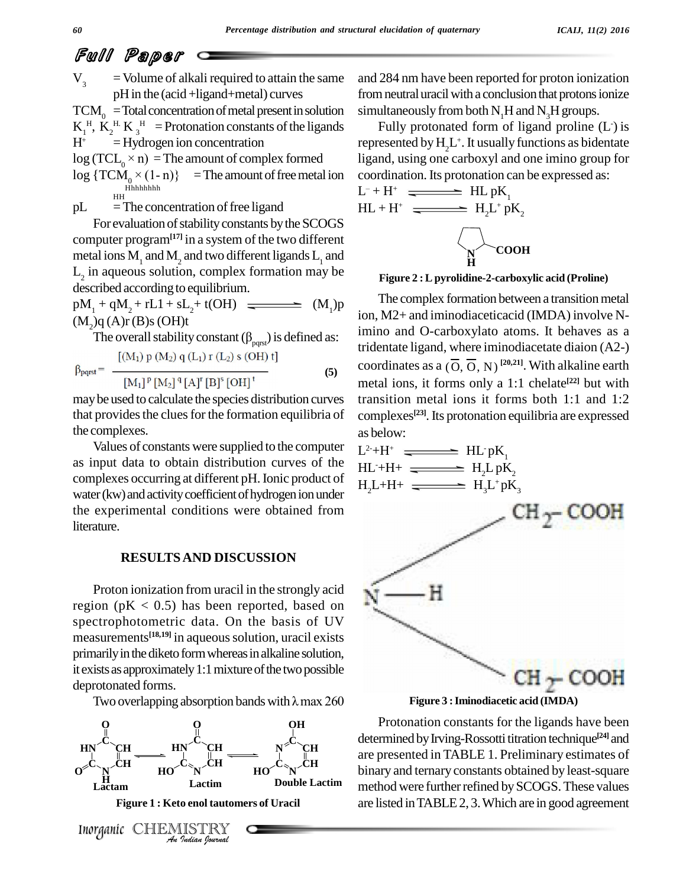$V<sub>3</sub>$  = Volume of alkali required to attain the same pHin the (acid+ligand+metal) curves

 $TCM<sub>o</sub> = Total concentration of metal present in solution$  $K_1^H$ ,  $K_2^H$   $K_3^H$  = Protonation constants of the ligands<br>  $H^+$  = Hydrogen ion concentration repression repression is a repression of complex formed ligar  $H^+$  = Hydrogen ion concentration H<sup>+</sup> = Hydrogen ion concentration repress<br>log (TCL<sub>0</sub> × n) = The amount of complex formed ligand,<br>log {TCM<sub>0</sub> × (1- n)} = The amount of free metal ion coordin

 $log(TCL_0 \times n)$  = The amount of complex formed

- HH Hhhhhhhh
- $pL = The concentration of free ligand$

For evaluation of stability constants by the SCOGS computer program**[17]** in a system of the two different metal ions  $M_1$  and  $M_2$  and two different ligands  $L_1$  and  $L_2$  in aqueous solution, complex formation may be described according to equilibrium.

 $pM_1 + qM_2 + rL1 + sL_2 + t(OH)$  (M<sub>1</sub>)p  $(M<sub>2</sub>)q(A)r(B)s(OH)t$ 

The overall stability constant  $(\beta_{\text{pors}})$  is defined as:

$$
\beta_{pqrst} = \frac{[(M_1) p (M_2) q (L_1) r (L_2) s (OH) t]}{[M_1]^p [M_2]^q [A]^r [B]^s [OH]^t}
$$
(5)

maybe used to calculate the species distribution curves that provides the clues for the formation equilibria of the complexes.

Values of constants were supplied to the computer as input data to obtain distribution curves of the complexes occurring at different pH.Ionic product of water(kw) and activity coefficient of hydrogen ion under the experimental conditions were obtained from literature.

#### **RESULTSAND DISCUSSION**

Proton ionization from uracil in the strongly acid region ( $pK < 0.5$ ) has been reported, based on spectrophotometric data. On the basis of UV measurements **[18,19]** in aqueoussolution, uracil exists primarily in the diketo form whereas in alkaline solution, it exists as approximately 1:1 mixture of the two possible deprotonated forms.

Two overlapping absorption bands with  $\lambda$  max 260



and 284 nm have been reported for proton ionization from neutral uracil with a conclusion that protons ionize simultaneously from both  $N<sub>1</sub>H$  and  $N<sub>2</sub>H$  groups.

Fully protonated form of ligand proline  $(L)$  is represented by  $\mathrm{H}_2\mathrm{L}^+$ . It usually functions as bidentate ligand, using one carboxyl and one imino group for coordination. Its protonation can be expressed as:

$$
L^- + H^+ \xrightarrow{\bullet} HL pK_1
$$
  

$$
HL + H^+ \xrightarrow{\bullet} H_2L^+ pK_2
$$



**Figure 2 :Lpyrolidine-2-carboxylic acid (Proline)**

(5) coordinates as a  $(\overline{O}, \overline{O}, N)^{[20,21]}$ . With alkaline earth The complex formation between a transition metal ion, M2+ and iminodiaceticacid (IMDA) involve Nimino and O-carboxylato atoms. It behaves as a tridentate ligand, where iminodiacetate diaion (A2-) metal ions, it forms only a 1:1 chelate **[22]** but with transition metal ions it forms both 1:1 and 1:2 complexes **[23]**.Its protonation equilibria are expressed as below:



**Figure 3 :Iminodiacetic acid (IMDA)**

**CH** binary and ternary constants obtained by least-square **CH** are presented in TABLE 1. Preliminary estimates of Protonation constants for the ligands have been determined by Irving-Rossotti titration technique<sup>[24]</sup> and method were further refined by SCOGS. These values are listed inTABLE2, 3.Which are in good agreement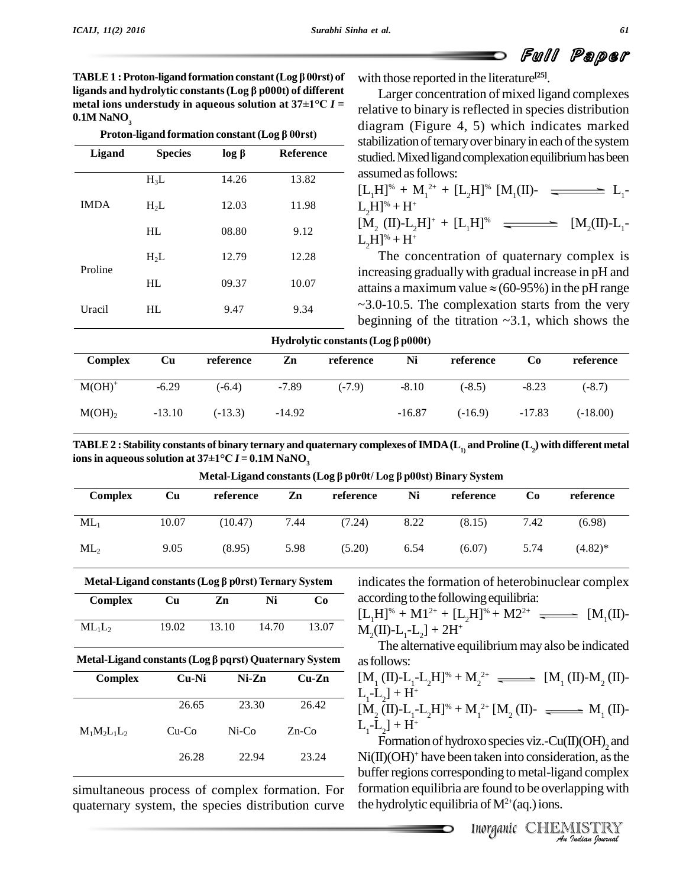**TABLE 1 : Proton-ligand formation constant (Log**  $\beta$  **00rst) of ligands hydron-ligand formation constant (Log β 00rst) of**  $\alpha$  **windpands and hydrolytic constants (Log β p000t) of different HABLE 1 : Proton-ligand formation constant (Log**  $\beta$  **00rst) of with the ligands and hydrolytic constants (Log**  $\beta$  **p000t) of different Lametal ions understudy in aqueous solution at**  $37\pm1$ **°C**  $I =$  **relative 0.1M NaNO**<sub>3</sub> **Proton-ligandity in aqueaus solution at**  $37\pm1$ **<sup>o</sup>C** *I* **=** 

| -------     | Proton-ligand formation constant ( $\text{Log } \beta 00 \text{rst}$ ) |             |           |
|-------------|------------------------------------------------------------------------|-------------|-----------|
| Ligand      | <b>Species</b>                                                         | $log \beta$ | Reference |
|             | $H_3L$                                                                 | 14.26       | 13.82     |
| <b>IMDA</b> | $H_2L$                                                                 | 12.03       | 11.98     |
|             | HL                                                                     | 08.80       | 9.12      |
|             | $H_2L$                                                                 | 12.79       | 12.28     |
| Proline     | HL                                                                     | 09.37       | 10.07     |
| Uracil      | HL                                                                     | 9.47        | 9.34      |

with those reported in the literature **[25]**.

Larger concentration of mixed ligand complexes relative to binary is reflected in species distribution diagram (Figure 4, 5) which indicates marked stabilization of ternary over binary in each of the system studied. Mixed ligand complexation equilibrium has been assumed as follows:

| $[L_1H]^{\omega} + M_1^2 + [L_2H]^{\omega}$ $[M_1(II)$ - $\longrightarrow$ $L_1$ - |  |
|------------------------------------------------------------------------------------|--|
| $L_2H]^* + H^*$                                                                    |  |
| $[M, (II)-L,H]^+ + [L,H]^{\otimes}$ $\longrightarrow$ $[M,(II)-L,$                 |  |
| $L_{\rm B}H$ ] <sup>%</sup> + H <sup>+</sup>                                       |  |

 $L_2H$ <sup>%</sup> + H<sup>+</sup><br>The concentration of quaternary complex is increasing graduallywith gradual increase in pH and attains a maximum value  $\approx$  (60-95%) in the pH range  $\sim$ 3.0-10.5. The complexation starts from the very

| Uracii             | пL       | 9.41      | 9.34     |                                          |          |           |          | beginning of the titration $\sim 3.1$ , which shows the |
|--------------------|----------|-----------|----------|------------------------------------------|----------|-----------|----------|---------------------------------------------------------|
|                    |          |           |          | Hydrolytic constants (Log $\beta$ p000t) |          |           |          |                                                         |
| <b>Complex</b>     | Cu       | reference | Zn       | reference                                | Ni       | reference | Co       | reference                                               |
| $M(OH)^+$          | $-6.29$  | $(-6.4)$  | $-7.89$  | $(-7.9)$                                 | $-8.10$  | $(-8.5)$  | $-8.23$  | $(-8.7)$                                                |
| M(OH) <sub>2</sub> | $-13.10$ | $(-13.3)$ | $-14.92$ |                                          | $-16.87$ | $(-16.9)$ | $-17.83$ | $(-18.00)$                                              |

TABLE 2 : Stability constants of binary ternary and quaternary complexes of IMDA ( ${\rm L}^{}_{\rm 1}$  and Proline ( ${\rm L}^{}_{\rm 2}$ ) with different metal **ionsin aqueoussolution at <sup>37</sup>±1°C** *<sup>I</sup>* **<sup>=</sup> 0.1M NaNO<sup>3</sup>** ts ot binary ternary and quaternary complexes of IMDA (L<sub>1)</sub> and Proline (L<sub>2</sub>) with di<br>37±1°C *I* = 0.1M NaNO<sub>3</sub><br>Metal-Ligand constants (Log β p0r0t/ Log β p00st) Binary System

| <b>Complex</b> | Cu    | reference                                                         | Zn   | reference | Ni   | reference                                          | Co   | reference  |
|----------------|-------|-------------------------------------------------------------------|------|-----------|------|----------------------------------------------------|------|------------|
| $ML_1$         | 10.07 | (10.47)                                                           | 7.44 | (7.24)    | 8.22 | (8.15)                                             | 7.42 | (6.98)     |
| $ML_2$         | 9.05  | (8.95)                                                            | 5.98 | (5.20)    | 6.54 | (6.07)                                             | 5.74 | $(4.82)$ * |
|                |       | Metal-Ligand constants ( $\text{Log }\beta$ p0rst) Ternary System |      |           |      | indicates the formation of heterobinuclear complex |      |            |

| Metal-Ligand constants (Log $\beta$ p0rst) Ternary System |       |       |       |       |  |  |  |
|-----------------------------------------------------------|-------|-------|-------|-------|--|--|--|
| <b>Complex</b>                                            | Cu    | Zn    | Ni    | Cо    |  |  |  |
| $ML_1L_2$                                                 | 19.02 | 13.10 | 14.70 | 13.07 |  |  |  |

| Complex        | Cu-Ni   | Ni-Zn | $Cu-Zn$  |
|----------------|---------|-------|----------|
|                | 26.65   | 23.30 | 26.42    |
| $M_1M_2L_1L_2$ | $Cu-Co$ | Ni-Co | $Zn$ -Co |
|                | 26.28   | 22.94 | 23.24    |

simultaneous process of complex formation. For quaternary system, the species distribution curve indicates the formation of heterobinuclear complex according to the following equilibria:

 $[L_1H]^* + M1^{2+} + [L_2H]^* + M2^{2+} \longrightarrow [M_1(II)-M_2(II)-L_1-L_2] + 2H^+$ <br>The alternative equilibrium may also be indicated

asfollows:  $M_{2}$ (II)-L<sub>1</sub>-L<sub>2</sub>] + 2H<sup>+</sup><br>
The alternative equilibrium may also be indicated<br> **Metal-Ligand constants (Log**  $\beta$  **pqrst)** Quaternary System<br>
as follows:

$$
[M_1 (II) - L_1 - L_2 H]^* + M_2^{2+} \longrightarrow [M_1 (II) - M_2 (II) - L_1 - L_2] + H^+
$$
  
\n
$$
[M_2 (II) - L_1 - L_2 H]^* + M_1^{2+} [M_2 (II) - \longrightarrow M_1 (II) - L_1 - L_2] + H^+
$$
  
\n
$$
Formation of hydroxo species viz. - Cu(II)(OH)_2 and
$$

*ISON* Species VIZ.-Cu(II)(OH)<sub>2</sub> and<br>
taken into consideration, as the<br>
ponding to metal-ligand complex<br>
re found to be overlapping with<br>
ia of M<sup>2+</sup>(aq.) ions.<br> *Inorganic* CHEMISTRY Ni(II)(OH) <sup>+</sup> have been taken into consideration, asthe buffer regions corresponding to metal-ligand complex formation equilibria are found to be overlapping with the hydrolytic equilibria of  $M^{2+}$ (aq.) ions.

Full Paper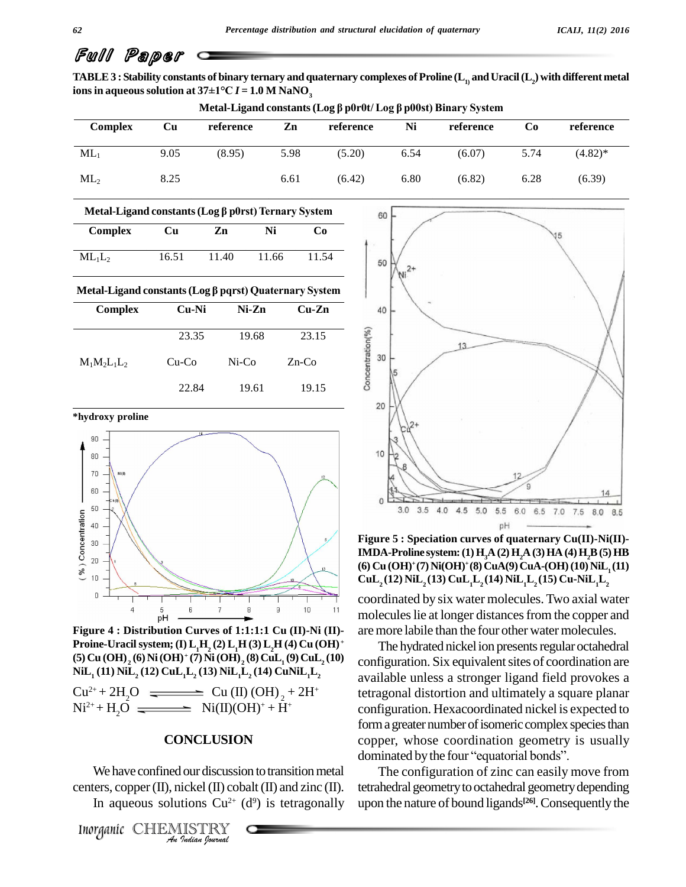TABLE 3 : Stability constants of binary ternary and quaternary complexes of Proline ( ${\rm L}^{}_{\rm D}$  and Uracil ( ${\rm L}^{}_{\rm 2}$ ) with different metal **i**Onside  $\overline{a}$  **a** *a* **<b>in a** *a a a a a a s 3* **<b>i***t a a 37***±1°C***I* **= 1.0 <b>M NaNO**<sub>3</sub> *a* ts ot binary ternary and quaternary complexes of Proline (L<sub>1)</sub> and Uracil (L<sub>2</sub>) with di<br>37±1°C *I* = 1.0 M NaNO<sub>3</sub><br>Metal-Ligand constants (Log β p0r0t/ Log β p00st) Binary System

| <b>Complex</b> | Cu   | reference | Zn   | reference | Ni   | reference | Co   | reference  |
|----------------|------|-----------|------|-----------|------|-----------|------|------------|
| $ML_1$         | 9.05 | (8.95)    | 5.98 | (5.20)    | 6.54 | (6.07)    | 5.74 | $(4.82)^*$ |
| $ML_2$         | 8.25 |           | 6.61 | (6.42)    | 6.80 | (6.82)    | 6.28 | (6.39)     |

| Metal-Ligand constants (Log $\beta$ p0rst) Ternary System |       |       |       |       |  |  |
|-----------------------------------------------------------|-------|-------|-------|-------|--|--|
| Complex                                                   | Сu    | Zn    | Ni    | GʻO   |  |  |
| $ML_1L_2$                                                 | 16.51 | 11.40 | 11.66 | 11.54 |  |  |

# Metal-Ligand constants (Log  $\beta$  pqrst) Quaternary System

| Complex        | Cu-Ni    | Ni-Zn    | $Cu-Zn$  |
|----------------|----------|----------|----------|
|                | 23.35    | 19.68    | 23.15    |
| $M_1M_2L_1L_2$ | $Cu$ -Co | $Ni$ -Co | $Zn$ -Co |
|                | 22.84    | 19.61    | 19.15    |



**Figure 4 : Distribution Curves of 1:1:1:1 Cu (II)-Ni (II)- Proine-Uracilsystem; (I) L1H<sup>2</sup> (2) L1H (3) L2H (4) Cu (OH) +**  $\textbf{(5)}$  **Cu**  $\textbf{(OH)}_{2}$   $\textbf{(6)}$  Ni  $\textbf{(OH)}$  +  $\textbf{(7)}$  Ni  $\textbf{(OH)}_{2}$   $\textbf{(8)}$   $\textbf{CuL}_{1}$   $\textbf{(9)}$   $\textbf{CuL}_{2}$   $\textbf{(10)}$   $\textbf{Cu}$ **NiL<sup>1</sup> (11) NiL<sup>2</sup> (12) CuL1L<sup>2</sup> (13) NiL1L<sup>2</sup> (14) CuNiL1L<sup>2</sup>**

 $Cu^{2+} + 2H_2O$   $\longrightarrow$   $Cu (II) (OH)_{2} + 2H^+$ <br>  $Ni^{2+} + H_2O$   $\longrightarrow$   $Ni (II) (OH)^+ + H^+$ 

### $A$ <sub>C</sub>ONCLUSION

*I*<br>*I* our discussic<br>*ickel (II) cob*<br>*Indian fourwal* We have confined our discussion to transition metal centers, copper  $(II)$ , nickel  $(II)$  cobalt  $(II)$  and zinc  $(II)$ . In aqueous solutions  $Cu^{2+}$  (d<sup>9</sup>) is tetragonally upon the



**Figure 5 : Speciation curves of quaternary Cu(II)-Ni(II)- IMDA-Proline system:(1)H3A (2)H2A (3)HA (4)H2B(5)HB (6) Cu (OH) <sup>+</sup>(7) Ni(OH) <sup>+</sup>(8) CuA(9)CuA-(OH)(10) NiL<sup>1</sup> (11)**  $\text{CuL}_{2}$  (12)  $\text{NiL}_{2}$  (13)  $\text{CuL}_{1}$ **L**<sub>2</sub> (14)  $\text{NiL}_{1}$ **L**<sub>2</sub> (15)  $\text{Cu-NiL}_{1}$ **L**<sub>2</sub>

coordinated by six water molecules. Two axial water molecules lie at longer distances from the copper and are more labile than the four other water molecules.

The hydrated nickel ion presents regular octahedral configuration. Six equivalent sites of coordination are available unless a stronger ligand field provokes a tetragonal distortion and ultimately a square planar configuration. Hexacoordinated nickel is expected to form a greater number of isomeric complex species than<br>copper, whose coordination geometry is usually<br>dominated by the four "equatorial bonds". copper, whose coordination geometry is usually

The configuration of zinc can easily move from tetrahedral geometry to octahedral geometry depending upon the nature of bound ligands **[26]**.Consequentlythe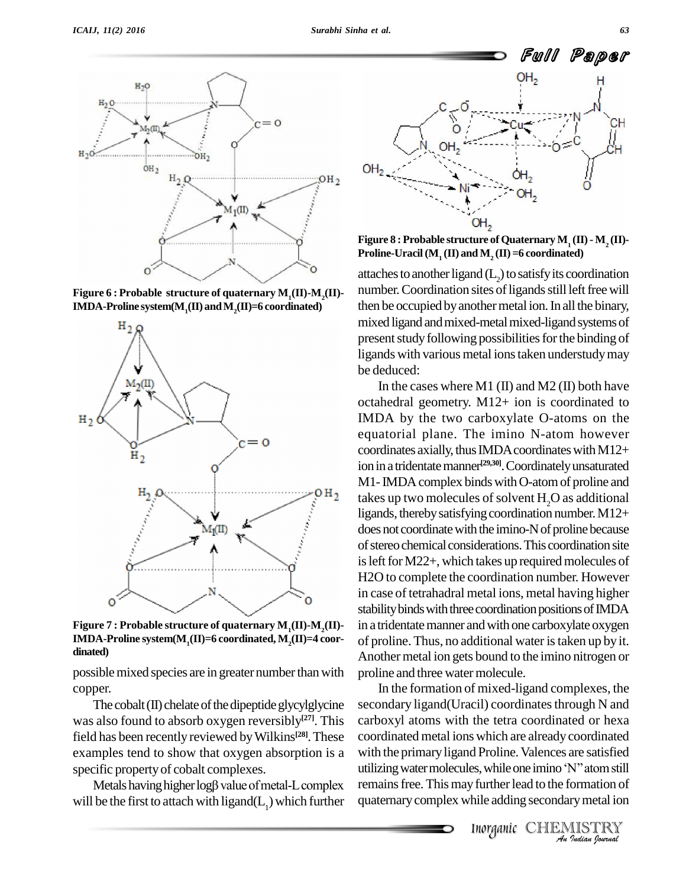





Figure 7 : Probable structure of quaternary  $M_1(\Pi)$ - $M_2(\Pi)$ -IMDA-Proline system( $M_1(\Pi)$ =6 coordinated,  $M_2(\Pi)$ =4 coordinated)

possible mixed species are in greater number than with copper.

The cobalt  $(II)$  chelate of the dipeptide glycylglycine was also found to absorb oxygen reversibly<sup>[27]</sup>. This carbo field has been recently reviewed by Wilkins<sup>[28]</sup>. These coord examples tend to show that oxygen absorption is a with the specific property of cobalt complexes. Uniliarity utilizing Metals having higher log<sub>p</sub> value of metal-L complex remain specific property of cobalt complexes.

will be the first to attach with ligand $(L<sub>1</sub>)$  which further



Figure 8 : Probable structure of Quaternary  $M_1(\Pi) - M_2(\Pi)$ -<br>Proline-Uracil (M<sub>1</sub> (II) and M<sub>2</sub> (II) =6 coordinated)

attaches to another ligand  $(L<sub>2</sub>)$  to satisfy its coordination number. Coordination sites of ligands still left free will then be occupied by another metal ion. In all the binary, mixed ligand and mixed-metal mixed-ligand systems of present study following possibilities for the binding of ligands with various metal ions taken understudy may be deduced:

In the cases where M1 (II) and M2 (II) both have octahedral geometry. M12+ ion is coordinated to IMDA by the two carboxylate O-atoms on the equatorial plane. The imino N-atom however coordinates axially, thus IMDA coordinates with  $M12+$ ion in a tridentate manner<sup>[29,30]</sup>. Coordinately unsaturated M1-IMDA complex binds with O-atom of proline and takes up two molecules of solvent  $H<sub>2</sub>O$  as additional ligands, thereby satisfying coordination number.  $M12+$ does not coordinate with the imino-N of proline because of stereo chemical considerations. This coordination site is left for  $M22+$ , which takes up required molecules of H2O to complete the coordination number. However in case of tetrahadral metal ions, metal having higher stability binds with three coordination positions of IMDA in a tridentate manner and with one carboxylate oxygen of proline. Thus, no additional water istaken up by it. Another metal ion gets bound to the imino nitrogen or proline and three water molecule.

with the primary ligand Proline. Valences are satisfied<br>
utilizing water molecules, while one imino 'N'' atom still<br>
remains free. This may further lead to the formation of<br>
quaternary complex while adding secondary metal In the formation of mixed-ligand complexes, the secondary ligand(Uracil) coordinates through N and carboxyl atoms with the tetra coordinated or hexa coordinated metal ions which are already coordinated coordinated metal ions which are already coordinated<br>with the primary ligand Proline. Valences are satisfied<br>utilizing water molecules, while one imino 'N'' atom still remains free. This may further lead to the formation of quaternarycomplex while adding secondarymetal ion

Inorganic CHEMISTRY